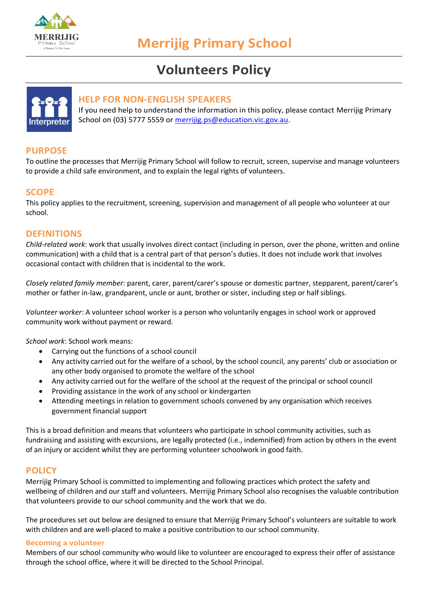

# **Volunteers Policy**



## **HELP FOR NON-ENGLISH SPEAKERS**

If you need help to understand the information in this policy, please contact Merrijig Primary School on (03) 5777 5559 or [merrijig.ps@education.vic.gov.au.](mailto:merrijig.ps@education.vic.gov.au)

## **PURPOSE**

To outline the processes that Merrijig Primary School will follow to recruit, screen, supervise and manage volunteers to provide a child safe environment, and to explain the legal rights of volunteers.

## **SCOPE**

This policy applies to the recruitment, screening, supervision and management of all people who volunteer at our school.

## **DEFINITIONS**

*Child-related work*: work that usually involves direct contact (including in person, over the phone, written and online communication) with a child that is a central part of that person's duties. It does not include work that involves occasional contact with children that is incidental to the work.

*Closely related family member:* parent, carer, parent/carer's spouse or domestic partner, stepparent, parent/carer's mother or father in-law, grandparent, uncle or aunt, brother or sister, including step or half siblings.

*Volunteer worker*: A volunteer school worker is a person who voluntarily engages in school work or approved community work without payment or reward.

*School work*: School work means:

- Carrying out the functions of a school council
- Any activity carried out for the welfare of a school, by the school council, any parents' club or association or any other body organised to promote the welfare of the school
- Any activity carried out for the welfare of the school at the request of the principal or school council
- Providing assistance in the work of any school or kindergarten
- Attending meetings in relation to government schools convened by any organisation which receives government financial support

This is a broad definition and means that volunteers who participate in school community activities, such as fundraising and assisting with excursions, are legally protected (i.e., indemnified) from action by others in the event of an injury or accident whilst they are performing volunteer schoolwork in good faith.

## **POLICY**

Merrijig Primary School is committed to implementing and following practices which protect the safety and wellbeing of children and our staff and volunteers. Merrijig Primary School also recognises the valuable contribution that volunteers provide to our school community and the work that we do.

The procedures set out below are designed to ensure that Merrijig Primary School's volunteers are suitable to work with children and are well-placed to make a positive contribution to our school community.

#### **Becoming a volunteer**

Members of our school community who would like to volunteer are encouraged to express their offer of assistance through the school office, where it will be directed to the School Principal.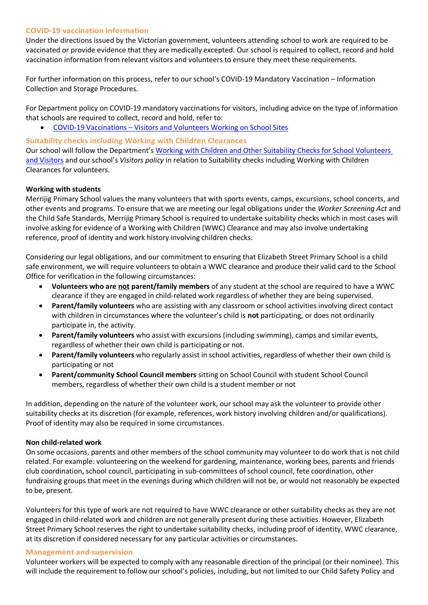#### **COVID-19 vaccination information**

Under the directions issued by the Victorian government, volunteers attending school to work are required to be vaccinated or provide evidence that they are medically excepted. Our school is required to collect, record and hold vaccination information from relevant visitors and volunteers to ensure they meet these requirements.

For further information on this process, refer to our school's COVID-19 Mandatory Vaccination – Information Collection and Storage Procedures.

For Department policy on COVID-19 mandatory vaccinations for visitors, including advice on the type of information that schools are required to collect, record and hold, refer to:

• COVID-19 Vaccinations – [Visitors and Volunteers Working on School Sites](https://www2.education.vic.gov.au/pal/covid-19-vaccinations-visitors-volunteers/policy)

#### **Suitability checks including Working with Children Clearances**

Our school will follow the Department's [Working with Children and Other Suitability Checks for School Volunteers](https://www2.education.vic.gov.au/pal/suitability-checks/policy)  [and Visitors](https://www2.education.vic.gov.au/pal/suitability-checks/policy) and our school's *Visitors policy* in relation to Suitability checks including Working with Children Clearances for volunteers.

#### **Working with students**

Merrijig Primary School values the many volunteers that with sports events, camps, excursions, school concerts, and other events and programs. To ensure that we are meeting our legal obligations under the *Worker Screening Act* and the Child Safe Standards, Merrijig Primary School is required to undertake suitability checks which in most cases will involve asking for evidence of a Working with Children (WWC) Clearance and may also involve undertaking reference, proof of identity and work history involving children checks.

Considering our legal obligations, and our commitment to ensuring that Elizabeth Street Primary School is a child safe environment, we will require volunteers to obtain a WWC clearance and produce their valid card to the School Office for verification in the following circumstances:

- **Volunteers who are not parent/family members** of any student at the school are required to have a WWC clearance if they are engaged in child-related work regardless of whether they are being supervised.
- **Parent/family volunteers** who are assisting with any classroom or school activities involving direct contact with children in circumstances where the volunteer's child is **not** participating, or does not ordinarily participate in, the activity.
- **Parent/family volunteers** who assist with excursions (including swimming), camps and similar events, regardless of whether their own child is participating or not.
- **Parent/family volunteers** who regularly assist in school activities, regardless of whether their own child is participating or not
- **Parent/community School Council members** sitting on School Council with student School Council members, regardless of whether their own child is a student member or not

In addition, depending on the nature of the volunteer work, our school may ask the volunteer to provide other suitability checks at its discretion (for example, references, work history involving children and/or qualifications). Proof of identity may also be required in some circumstances.

#### **Non child-related work**

On some occasions, parents and other members of the school community may volunteer to do work that is not child related. For example: volunteering on the weekend for gardening, maintenance, working bees, parents and friends club coordination, school council, participating in sub-committees of school council, fete coordination, other fundraising groups that meet in the evenings during which children will not be, or would not reasonably be expected to be, present.

Volunteers for this type of work are not required to have WWC clearance or other suitability checks as they are not engaged in child-related work and children are not generally present during these activities. However, Elizabeth Street Primary School reserves the right to undertake suitability checks, including proof of identity, WWC clearance, at its discretion if considered necessary for any particular activities or circumstances.

#### **Management and supervision**

Volunteer workers will be expected to comply with any reasonable direction of the principal (or their nominee). This will include the requirement to follow our school's policies, including, but not limited to our Child Safety Policy and